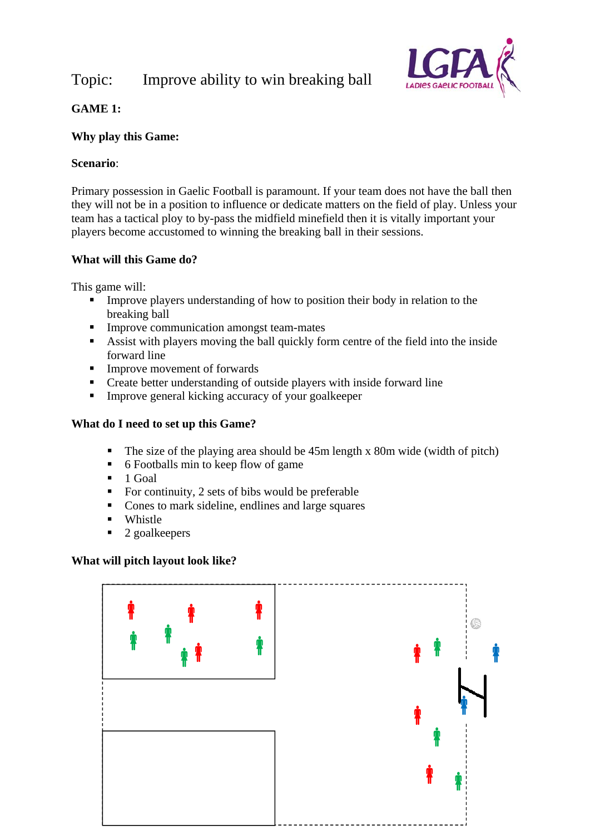# Topic: Improve ability to win breaking ball



# **GAME 1:**

# **Why play this Game:**

# **Scenario**:

Primary possession in Gaelic Football is paramount. If your team does not have the ball then they will not be in a position to influence or dedicate matters on the field of play. Unless your team has a tactical ploy to by-pass the midfield minefield then it is vitally important your players become accustomed to winning the breaking ball in their sessions.

# **What will this Game do?**

This game will:

- Improve players understanding of how to position their body in relation to the breaking ball
- **Improve communication amongst team-mates**
- Assist with players moving the ball quickly form centre of the field into the inside forward line
- Improve movement of forwards
- Create better understanding of outside players with inside forward line
- Improve general kicking accuracy of your goalkeeper

# **What do I need to set up this Game?**

- The size of the playing area should be  $45m$  length x  $80m$  wide (width of pitch)
- 6 Footballs min to keep flow of game
- $\blacksquare$  1 Goal
- For continuity, 2 sets of bibs would be preferable
- Cones to mark sideline, endlines and large squares
- **Whistle**
- $\blacksquare$  2 goalkeepers

# **What will pitch layout look like?**

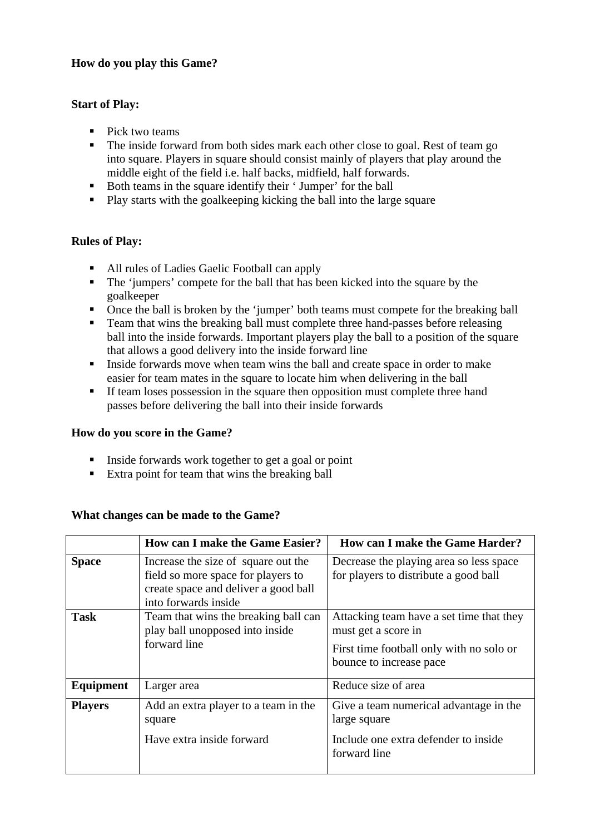#### **How do you play this Game?**

#### **Start of Play:**

- $\blacksquare$  Pick two teams
- The inside forward from both sides mark each other close to goal. Rest of team go into square. Players in square should consist mainly of players that play around the middle eight of the field i.e. half backs, midfield, half forwards.
- Both teams in the square identify their ' Jumper' for the ball
- **Play starts with the goalkeeping kicking the ball into the large square**

# **Rules of Play:**

- All rules of Ladies Gaelic Football can apply
- The 'jumpers' compete for the ball that has been kicked into the square by the goalkeeper
- Once the ball is broken by the 'jumper' both teams must compete for the breaking ball
- Team that wins the breaking ball must complete three hand-passes before releasing ball into the inside forwards. Important players play the ball to a position of the square that allows a good delivery into the inside forward line
- Inside forwards move when team wins the ball and create space in order to make easier for team mates in the square to locate him when delivering in the ball
- If team loses possession in the square then opposition must complete three hand passes before delivering the ball into their inside forwards

# **How do you score in the Game?**

- Inside forwards work together to get a goal or point
- Extra point for team that wins the breaking ball

#### **What changes can be made to the Game?**

|                | <b>How can I make the Game Easier?</b>                                                                                                    | <b>How can I make the Game Harder?</b>                                                                                                 |
|----------------|-------------------------------------------------------------------------------------------------------------------------------------------|----------------------------------------------------------------------------------------------------------------------------------------|
| <b>Space</b>   | Increase the size of square out the<br>field so more space for players to<br>create space and deliver a good ball<br>into forwards inside | Decrease the playing area so less space<br>for players to distribute a good ball                                                       |
| <b>Task</b>    | Team that wins the breaking ball can<br>play ball unopposed into inside<br>forward line                                                   | Attacking team have a set time that they<br>must get a score in<br>First time football only with no solo or<br>bounce to increase pace |
| Equipment      | Larger area                                                                                                                               | Reduce size of area                                                                                                                    |
| <b>Players</b> | Add an extra player to a team in the<br>square                                                                                            | Give a team numerical advantage in the<br>large square                                                                                 |
|                | Have extra inside forward                                                                                                                 | Include one extra defender to inside.<br>forward line                                                                                  |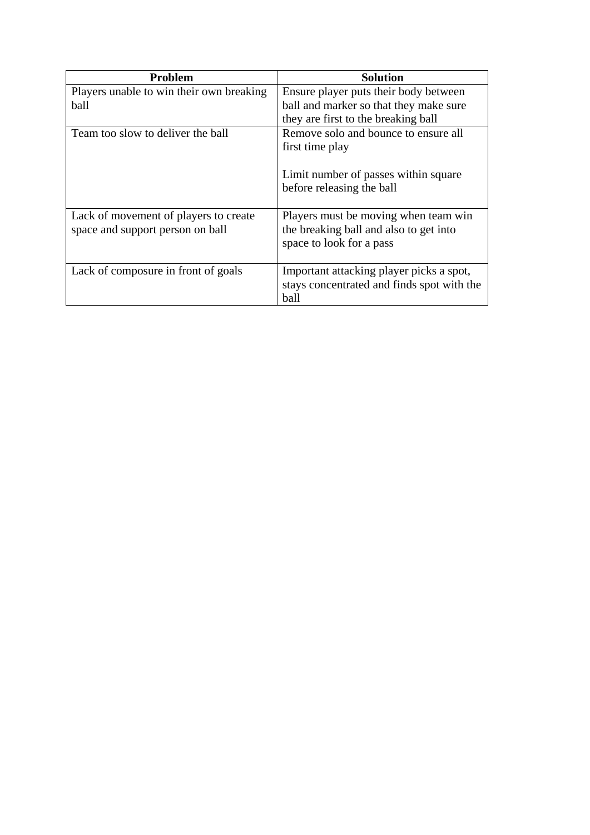| Problem                                  | Solution                                   |
|------------------------------------------|--------------------------------------------|
| Players unable to win their own breaking | Ensure player puts their body between      |
| ball                                     | ball and marker so that they make sure     |
|                                          | they are first to the breaking ball        |
| Team too slow to deliver the ball        | Remove solo and bounce to ensure all       |
|                                          | first time play                            |
|                                          |                                            |
|                                          | Limit number of passes within square       |
|                                          | before releasing the ball                  |
|                                          |                                            |
| Lack of movement of players to create    | Players must be moving when team win       |
| space and support person on ball         | the breaking ball and also to get into     |
|                                          | space to look for a pass                   |
|                                          |                                            |
| Lack of composure in front of goals      | Important attacking player picks a spot,   |
|                                          | stays concentrated and finds spot with the |
|                                          | ball                                       |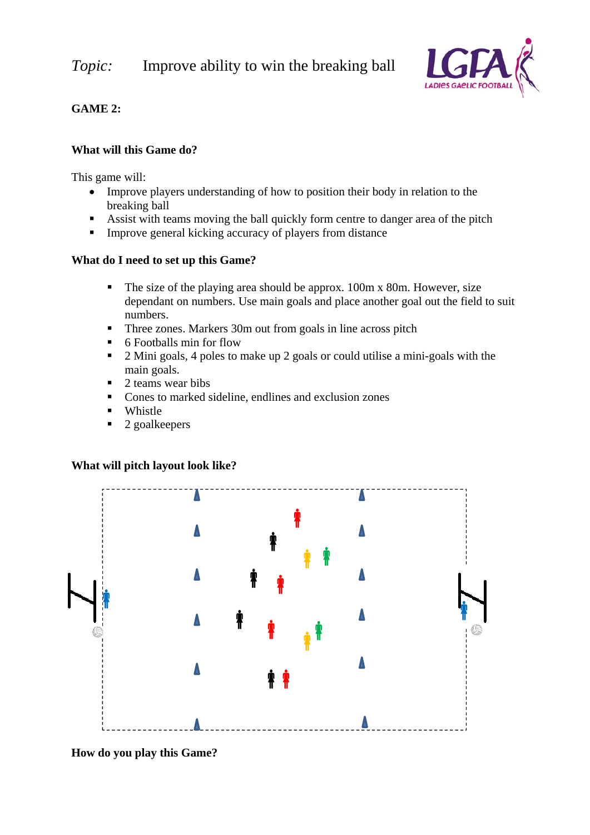

# **GAME 2:**

# **What will this Game do?**

This game will:

- Improve players understanding of how to position their body in relation to the breaking ball
- Assist with teams moving the ball quickly form centre to danger area of the pitch
- Improve general kicking accuracy of players from distance

# **What do I need to set up this Game?**

- $\blacksquare$  The size of the playing area should be approx. 100m x 80m. However, size dependant on numbers. Use main goals and place another goal out the field to suit numbers.
- Three zones. Markers 30m out from goals in line across pitch
- 6 Footballs min for flow
- <sup>2</sup> 2 Mini goals, 4 poles to make up 2 goals or could utilise a mini-goals with the main goals.
- $\blacksquare$  2 teams wear bibs
- Cones to marked sideline, endlines and exclusion zones
- **Whistle**
- $\blacksquare$  2 goalkeepers

# **What will pitch layout look like?**



**How do you play this Game?**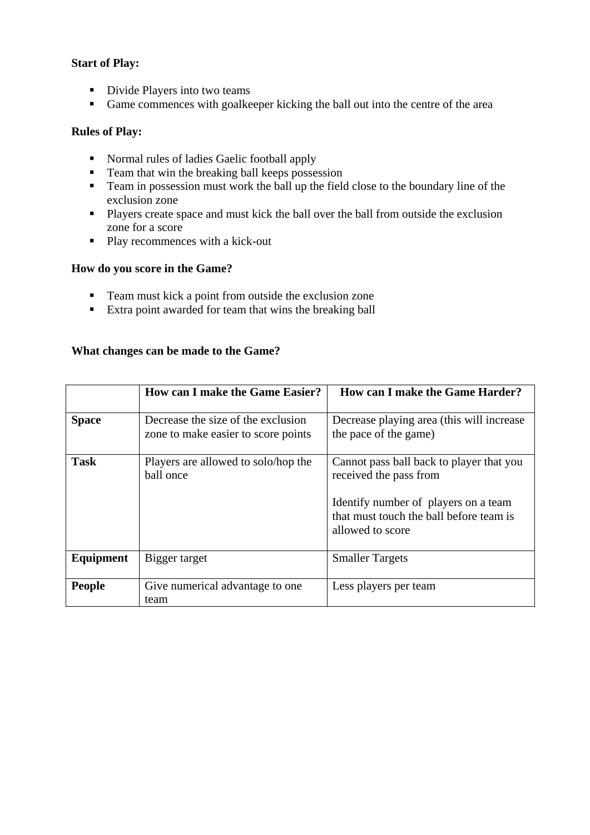#### **Start of Play:**

- Divide Players into two teams
- Game commences with goalkeeper kicking the ball out into the centre of the area

#### **Rules of Play:**

- Normal rules of ladies Gaelic football apply
- Team that win the breaking ball keeps possession
- Team in possession must work the ball up the field close to the boundary line of the exclusion zone
- **Players create space and must kick the ball over the ball from outside the exclusion** zone for a score
- Play recommences with a kick-out

# **How do you score in the Game?**

- **Team must kick a point from outside the exclusion zone**
- Extra point awarded for team that wins the breaking ball

#### **What changes can be made to the Game?**

|                  | <b>How can I make the Game Easier?</b>                                    | How can I make the Game Harder?                                                                                                                                           |
|------------------|---------------------------------------------------------------------------|---------------------------------------------------------------------------------------------------------------------------------------------------------------------------|
| <b>Space</b>     | Decrease the size of the exclusion<br>zone to make easier to score points | Decrease playing area (this will increase<br>the pace of the game)                                                                                                        |
| <b>Task</b>      | Players are allowed to solo/hop the<br>ball once                          | Cannot pass ball back to player that you<br>received the pass from<br>Identify number of players on a team<br>that must touch the ball before team is<br>allowed to score |
| <b>Equipment</b> | Bigger target                                                             | <b>Smaller Targets</b>                                                                                                                                                    |
| <b>People</b>    | Give numerical advantage to one<br>team                                   | Less players per team                                                                                                                                                     |